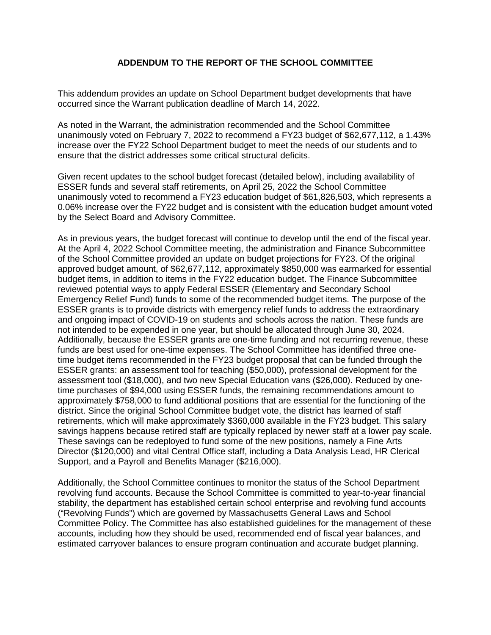#### **ADDENDUM TO THE REPORT OF THE SCHOOL COMMITTEE**

This addendum provides an update on School Department budget developments that have occurred since the Warrant publication deadline of March 14, 2022.

As noted in the Warrant, the administration recommended and the School Committee unanimously voted on February 7, 2022 to recommend a FY23 budget of \$62,677,112, a 1.43% increase over the FY22 School Department budget to meet the needs of our students and to ensure that the district addresses some critical structural deficits.

Given recent updates to the school budget forecast (detailed below), including availability of ESSER funds and several staff retirements, on April 25, 2022 the School Committee unanimously voted to recommend a FY23 education budget of \$61,826,503, which represents a 0.06% increase over the FY22 budget and is consistent with the education budget amount voted by the Select Board and Advisory Committee.

As in previous years, the budget forecast will continue to develop until the end of the fiscal year. At the April 4, 2022 School Committee meeting, the administration and Finance Subcommittee of the School Committee provided an update on budget projections for FY23. Of the original approved budget amount, of \$62,677,112, approximately \$850,000 was earmarked for essential budget items, in addition to items in the FY22 education budget. The Finance Subcommittee reviewed potential ways to apply Federal ESSER (Elementary and Secondary School Emergency Relief Fund) funds to some of the recommended budget items. The purpose of the ESSER grants is to provide districts with emergency relief funds to address the extraordinary and ongoing impact of COVID-19 on students and schools across the nation. These funds are not intended to be expended in one year, but should be allocated through June 30, 2024. Additionally, because the ESSER grants are one-time funding and not recurring revenue, these funds are best used for one-time expenses. The School Committee has identified three onetime budget items recommended in the FY23 budget proposal that can be funded through the ESSER grants: an assessment tool for teaching (\$50,000), professional development for the assessment tool (\$18,000), and two new Special Education vans (\$26,000). Reduced by onetime purchases of \$94,000 using ESSER funds, the remaining recommendations amount to approximately \$758,000 to fund additional positions that are essential for the functioning of the district. Since the original School Committee budget vote, the district has learned of staff retirements, which will make approximately \$360,000 available in the FY23 budget. This salary savings happens because retired staff are typically replaced by newer staff at a lower pay scale. These savings can be redeployed to fund some of the new positions, namely a Fine Arts Director (\$120,000) and vital Central Office staff, including a Data Analysis Lead, HR Clerical Support, and a Payroll and Benefits Manager (\$216,000).

Additionally, the School Committee continues to monitor the status of the School Department revolving fund accounts. Because the School Committee is committed to year-to-year financial stability, the department has established certain school enterprise and revolving fund accounts ("Revolving Funds") which are governed by Massachusetts General Laws and School Committee Policy. The Committee has also established guidelines for the management of these accounts, including how they should be used, recommended end of fiscal year balances, and estimated carryover balances to ensure program continuation and accurate budget planning.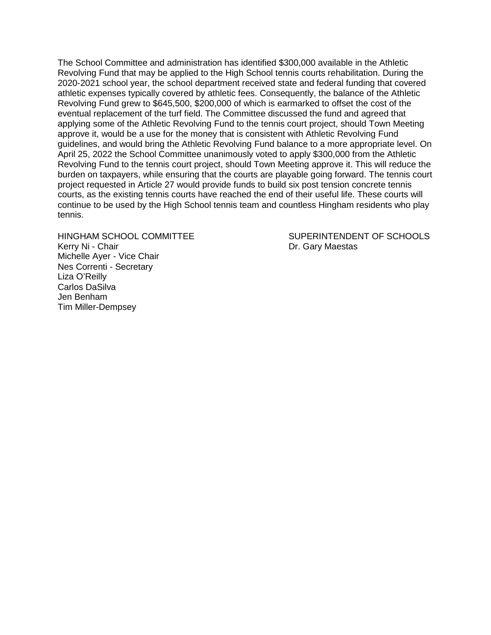The School Committee and administration has identified \$300,000 available in the Athletic Revolving Fund that may be applied to the High School tennis courts rehabilitation. During the 2020-2021 school year, the school department received state and federal funding that covered athletic expenses typically covered by athletic fees. Consequently, the balance of the Athletic Revolving Fund grew to \$645,500, \$200,000 of which is earmarked to offset the cost of the eventual replacement of the turf field. The Committee discussed the fund and agreed that applying some of the Athletic Revolving Fund to the tennis court project, should Town Meeting approve it, would be a use for the money that is consistent with Athletic Revolving Fund guidelines, and would bring the Athletic Revolving Fund balance to a more appropriate level. On April 25, 2022 the School Committee unanimously voted to apply \$300,000 from the Athletic Revolving Fund to the tennis court project, should Town Meeting approve it. This will reduce the burden on taxpayers, while ensuring that the courts are playable going forward. The tennis court project requested in Article 27 would provide funds to build six post tension concrete tennis courts, as the existing tennis courts have reached the end of their useful life. These courts will continue to be used by the High School tennis team and countless Hingham residents who play tennis.

Kerry Ni - Chair **Dr. Gary Maestas** Michelle Ayer - Vice Chair Nes Correnti - Secretary Liza O'Reilly Carlos DaSilva Jen Benham Tim Miller-Dempsey

HINGHAM SCHOOL COMMITTEE SUPERINTENDENT OF SCHOOLS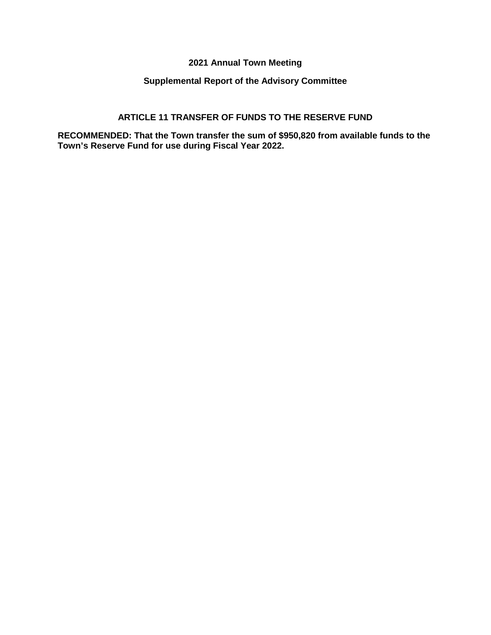#### **2021 Annual Town Meeting**

#### **Supplemental Report of the Advisory Committee**

#### **ARTICLE 11 TRANSFER OF FUNDS TO THE RESERVE FUND**

**RECOMMENDED: That the Town transfer the sum of \$950,820 from available funds to the Town's Reserve Fund for use during Fiscal Year 2022.**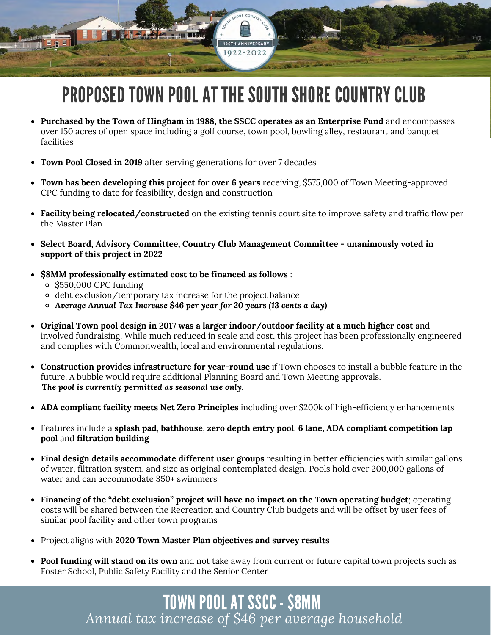# PROPOSED TOWN POOL AT THE SOUTH SHORE COUNTRY CLUB

1922-202

- **Purchased by the Town of Hingham in 1988, the SSCC operates as an Enterprise Fund** and encompasses over 150 acres of open space including a golf course, town pool, bowling alley, restaurant and banquet facilities
- **Town Pool Closed in 2019** after serving generations for over 7 decades
- **Town has been developing this project for over 6 years** receiving, \$575,000 of Town Meeting-approved CPC funding to date for feasibility, design and construction
- **Facility being relocated/constructed** on the existing tennis court site to improve safety and traffic flow per the Master Plan
- **Select Board, Advisory Committee, Country Club Management Committee unanimously voted in support of this project in 2022**
- **\$8MM professionally estimated cost to be financed as follows** :
	- \$550,000 CPC funding
	- debt exclusion/temporary tax increase for the project balance
	- *Average Annual Tax Increase \$46 per year for 20 years (13 cents a day)*
- **Original Town pool design in 2017 was a larger indoor/outdoor facility at a much higher cost** and involved fundraising. While much reduced in scale and cost, this project has been professionally engineered and complies with Commonwealth, local and environmental regulations.
- **Construction provides infrastructure for year-round use** if Town chooses to install a bubble feature in the future. A bubble would require additional Planning Board and Town Meeting approvals. *The pool is currently permitted as seasonal use only.*
- **ADA compliant facility meets Net Zero Principles** including over \$200k of high-efficiency enhancements
- Features include a **splash pad**, **bathhouse**, **zero depth entry pool**, **6 lane, ADA compliant competition lap pool** and **filtration building**
- **Final design details accommodate different user groups** resulting in better efficiencies with similar gallons of water, filtration system, and size as original contemplated design. Pools hold over 200,000 gallons of water and can accommodate 350+ swimmers
- **Financing of the "debt exclusion" project will have no impact on the Town operating budget**; operating costs will be shared between the Recreation and Country Club budgets and will be offset by user fees of similar pool facility and other town programs
- Project aligns with **2020 Town Master Plan objectives and survey results**
- **Pool funding will stand on its own** and not take away from current or future capital town projects such as Foster School, Public Safety Facility and the Senior Center

### TOWN POOL AT SSCC - \$8MM *Annual tax increase of \$46 per average household*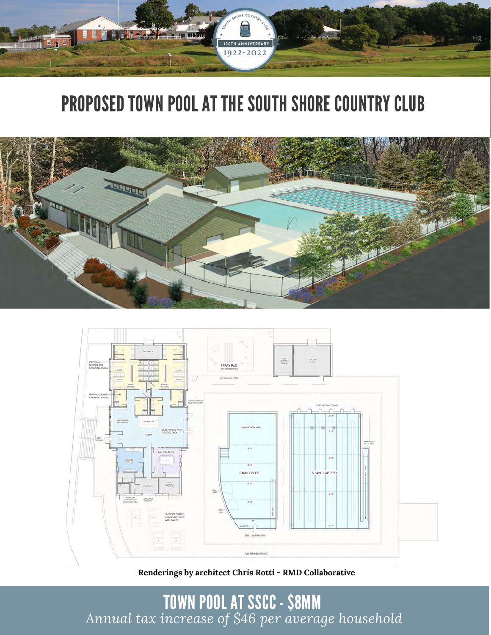

## PROPOSED TOWN POOL AT THE SOUTH SHORE COUNTRY CLUB





**Renderings by architect Chris Rotti - RMD Collaborative**

TOWN POOL AT SSCC - \$8MM *Annual tax increase of \$46 per average household*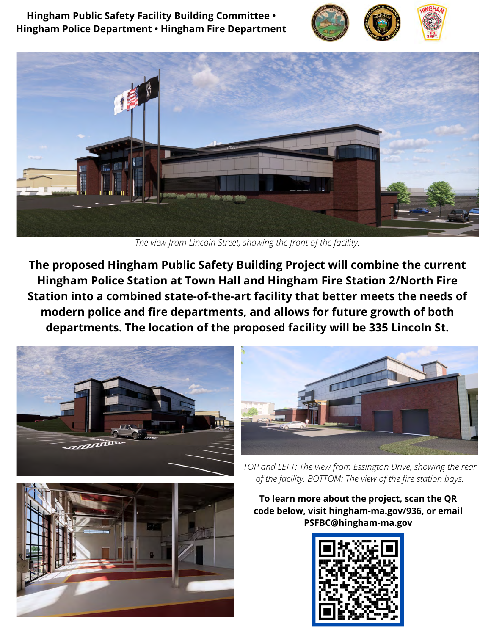**Hingham Public Safety Facility Building Committee • Hingham Police Department • Hingham Fire Department**





*The view from Lincoln Street, showing the front of the facility.*

**The proposed Hingham Public Safety Building Project will combine the current Hingham Police Station at Town Hall and Hingham Fire Station 2/North Fire Station into a combined state-of-the-art facility that better meets the needs of modern police and fire departments, and allows for future growth of both departments. The location of the proposed facility will be 335 Lincoln St.**







*TOP and LEFT: The view from Essington Drive, showing the rear of the facility. BOTTOM: The view of the fire station bays.*

**To learn more about the project, scan the QR code below, visit hingham-ma.gov/936, or email [PSFBC@hingham-ma.gov](mailto:PSFBC@hingham-ma.gov)**